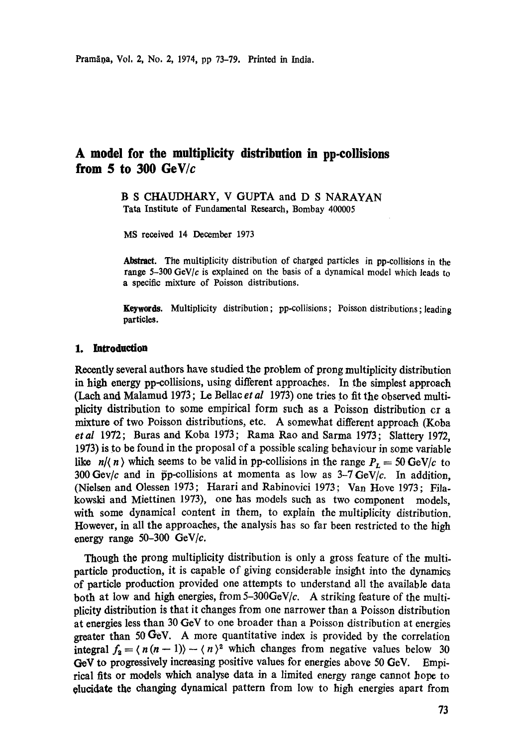# **A model for the multiplicity distribution in pp-collisions from \$ to 300 GeWc**

**B S CHAUDHARY, V** GUPTA and **D S NARAYAN**  Tata Institute of Fundamental Research, Bombay 400005

MS received 14 December 1973

Abstract. The multiplicity distribution of charged particles in pp-collisions in the range 5-300 GeV/c is explained on the basis of a dynamical model which leads to a specific mixture of Poisson distributions.

Keywords. Multiplicity distribution; pp-collisions; Poisson distributions; leading particles.

#### **1. Introduction**

Recently several authors have studied the problem of prong multiplicity distribution **in** high energy pp-collisions, using different approaches. In the simplest approach (Lach and Malamud 1973; Le Bellac *et al* 1973) one tries to fit the observed multiplicity distribution to some empirical form such as a Poisson distribution cra mixture of two Poisson distributions, etc. A somewhat different approach (Koba *etal* 1972; Buras and Koba 1973; Rama Rao and Sarma 1973; Slattery I972, 1973) is to be found in the proposal of a possible scaling behaviour in some variable like  $n/(n)$  which seems to be valid in pp-collisions in the range  $P_L = 50 \text{ GeV}/c$  to 300 Gev/c and in  $\bar{p}p$ -collisions at momenta as low as 3-7 GeV/c. In addition, (Nielsen and Olessen 1973; Harari and Rabinovici 1973; Van Hove 1973; Filakowski and Miettinen 1973), one has models such as two component models, with some dynamical content in them, to explain the multiplicity distribution. However, in all the approaches, the analysis has so far been restricted to the high energy range 50-300 GeV/c.

Though the prong multiplicity distribution is only a gross feature of the multiparticle production, it is capable of giving considerable insight into the dynamics of particle production provided one attempts to understand all the available data both at low and high energies, from  $5-300 \text{GeV}/c$ . A striking feature of the multiplicity distribution is that it changes from one narrower than a Poisson distribution at energies less than 30 GeV to one broader than a Poisson distribution at energies greater than 50 GeV. A more quantitative index is provided by the correlation integral  $f_2 = \langle n (n-1) \rangle - \langle n \rangle^2$  which changes from negative values below 30 GeV to progressively increasing positive values for energies above 50 GeV. Empirical fits or models which analyse data in a limited energy range cannot hope to oluddate the changing dynamical pattern from low to high energies apart from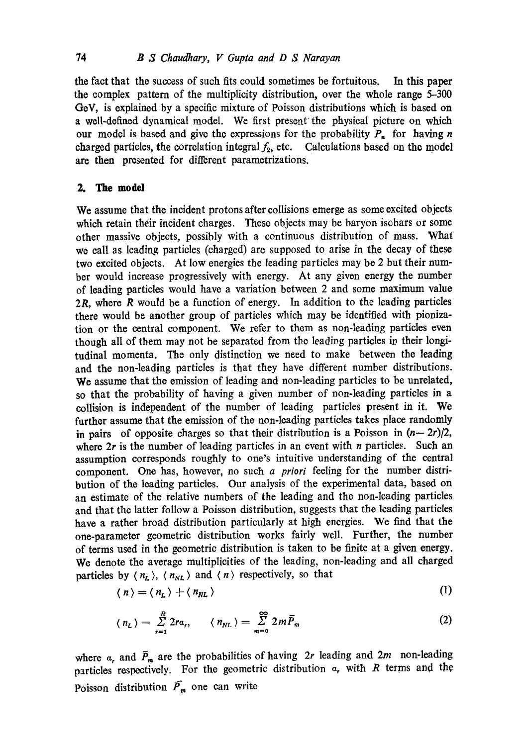the fact that the success of such fits could sometimes be fortuitous. In this paper the complex pattern of the multiplicity distribution, over the whole range 5-300 GoV, is explained by a specific mixture of Poisson distributions which is based on a well-defined dynamical model. We first present the physical picture on which our model is based and give the expressions for the probability  $P_n$  for having n charged particles, the correlation integral  $f_2$ , etc. Calculations based on the model are then presented for different parametrizations.

## **2. The model**

We assume that the incident protons after collisions emerge as some excited objects which retain their incident charges. These objects may be baryon isobars or some other massive objects, possibly with a continuous distribution of mass. What we call as leading particles (charged) are supposed to arise in the decay of these two excited objects. At low energies the leading particles may be 2 but their number would increase progressively with energy. At any given energy the number of leading particles would have a variation between 2 and some maximum value  $2R$ , where R would be a function of energy. In addition to the leading particles there would be another group of particles which may be identified with pionization or the central component. We refer to them as non-leading particles even though all of them may not be separated from the leading particles in their longitudinal momenta. The only distinction we need to make between the leading and the non-leading particles is that they have different number distributions. We assume that the emission of leading and non-leading particles to be unrelated, so that the probability of having a given number of non-leading particles in a collision is independent of the number of leading particles present in it. We further assume that the emission of the non-leading particles takes place randomly in pairs of opposite charges so that their distribution is a Poisson in  $(n-2r)/2$ , where  $2r$  is the number of leading particles in an event with *n* particles. Such an assumption corresponds roughly to one's intuitive understanding of the central component. One has, however, no such *a priori* feeling for the number distribution of the leading particles. Our analysis of the experimental data, based on an estimate of the relative numbers of the leading and the non-leading particles and that the latter follow a Poisson distribution, suggests that the leading particles have a rather broad distribution particularly at high energies. We find that the one-parameter geometric distribution works fairly well. Further, the number of terms used in the geometric distribution is taken to be finite at a given energy. We denote the average multiplicities of the leading, non-leading and all charged particles by  $\langle n_L \rangle$ ,  $\langle n_{NL} \rangle$  and  $\langle n \rangle$  respectively, so that

$$
\langle n \rangle = \langle n_L \rangle + \langle n_{NL} \rangle \tag{1}
$$

$$
\langle n_L \rangle = \sum_{r=1}^{R} 2r a_r, \qquad \langle n_{NL} \rangle = \sum_{m=0}^{\infty} 2m \bar{P}_m \tag{2}
$$

where  $\alpha_r$ , and  $\bar{P}_m$  are the probabilities of having 2r leading and 2m non-leading particles respectively. For the geometric distribution  $a_r$ , with R terms and the Poisson distribution  $\bar{P}_m$  one can write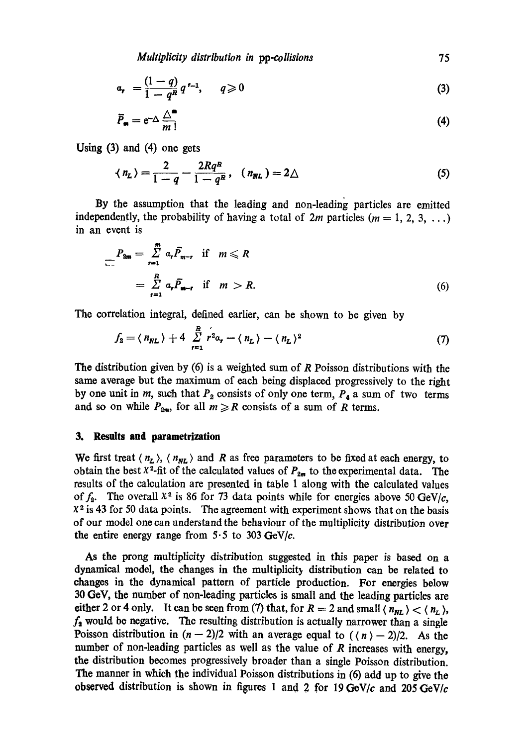*Multiplicity distribution in pp-collisions* 75

$$
a_r = \frac{(1-q)}{1-q^R} q^{r-1}, \qquad q \geqslant 0 \tag{3}
$$

$$
\overline{P}_{\bullet} = e^{-\Delta} \frac{\Delta^{\bullet}}{m!} \tag{4}
$$

Using (3) and (4) one gets

$$
\langle n_L \rangle = \frac{2}{1-q} - \frac{2Rq^R}{1-q^R}, \quad (n_{NL}) = 2\triangle \tag{5}
$$

By the assumption that the leading and non-leading particles are emitted independently, the probability of having a total of  $2m$  particles ( $m = 1, 2, 3, ...$ ) in an event is

$$
P_{2m} = \sum_{r=1}^{m} \alpha_r \overline{P}_{m-r} \quad \text{if} \quad m \leq R
$$
  
= 
$$
\sum_{r=1}^{R} \alpha_r \overline{P}_{m-r} \quad \text{if} \quad m > R.
$$
 (6)

The correlation integral, defined earlier, can be shown to be given by

$$
f_2 = \langle n_{NL} \rangle + 4 \sum_{r=1}^{R} r^2 a_r - \langle n_L \rangle - \langle n_L \rangle^2
$$
 (7)

The distribution given by  $(6)$  is a weighted sum of R Poisson distributions with the same average but the maximum of each being displaced progressively to the right by one unit in m, such that  $P_2$  consists of only one term,  $P_4$  a sum of two terms and so on while  $P_{2m}$ , for all  $m \ge R$  consists of a sum of R terms.

#### **3. Results and parametrization**

We first treat  $\langle n_L \rangle$ ,  $\langle n_{NL} \rangle$  and R as free parameters to be fixed at each energy, to obtain the best  $x^2$ -fit of the calculated values of  $P_{2m}$  to the experimental data. The results of the calculation are presented in table 1 along with the calculated values of  $f_2$ . The overall  $x^2$  is 86 for 73 data points while for energies above 50 GeV/c,  $x<sup>2</sup>$  is 43 for 50 data points. The agreement with experiment shows that on the basis of our model one can understand the behaviour of the multiplicity distribution over the entire energy range from  $5.5$  to  $303 \text{ GeV}/c$ .

As the prong multiplicity distribution suggested in this paper is based on a dynamical model, the changes in the multiplicity distribution can be related to changes in the dynamical pattern of particle production. For energies below 30 GoV, the number of non-leading particles is small and the leading particles are either 2 or 4 only. It can be seen from (7) that, for  $R = 2$  and small  $\langle n_{NL} \rangle < \langle n_L \rangle$ ,  $f_2$  would be negative. The resulting distribution is actually narrower than a single Poisson distribution in  $(n - 2)/2$  with an average equal to  $(\langle n \rangle - 2)/2$ . As the number of non-leading particles as well as the value of  $R$  increases with energy, the distribution becomes progressively broader than a single Poisson distribution. The manner in which the individual Poisson distributions in (6) add up to give the *observed* distribution is shown in figures 1 and 2 for 19 *GeVlc* and 205 *GeVIc*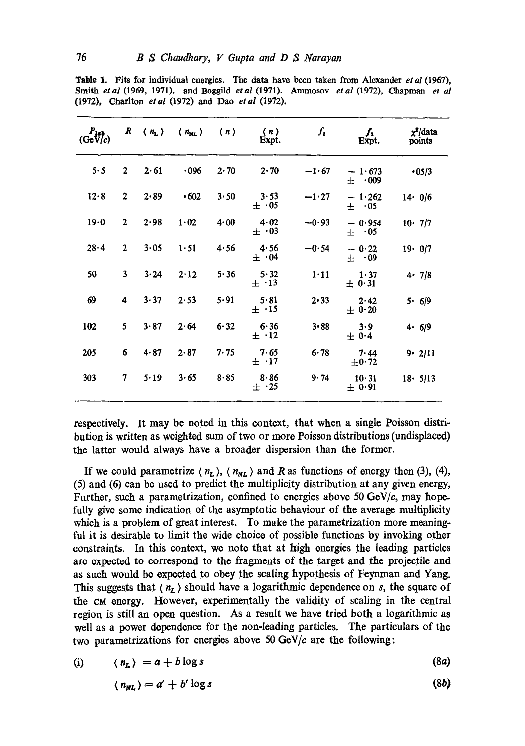| $P_{14}$<br>(GeV/c) | R              | $\langle n_{\rm L}\rangle$ | $\langle n_{NL} \rangle$ | $\langle n \rangle$ | $\langle n \rangle$<br>Expt. | $f_{2}$  | $f_{2}$<br>Expt.      | x <sup>7</sup> /data<br>points |
|---------------------|----------------|----------------------------|--------------------------|---------------------|------------------------------|----------|-----------------------|--------------------------------|
| 5.5                 | $\overline{2}$ | 2.61                       | .096                     | 2.70                | 2.70                         | $-1.67$  | $-1.673$<br>$\pm$ 009 | •05/3                          |
| 12.8                | $\mathbf{2}$   | 2.89                       | .602                     | 3.50                | 3.53<br>$\pm 0.05$           | $-1.27$  | $-1.262$<br>$\pm$ 05  | $14 \cdot 0/6$                 |
| 19.0                | $\overline{2}$ | 2.98                       | 1.02                     | 4.00                | 4.02<br>$\pm 0.03$           | $-0.93$  | $-0.954$<br>$\pm$ 05  | $10 \cdot 7/7$                 |
| $28 - 4$            | $\overline{2}$ | 3.05                       | $1 - 51$                 | 4.56                | 4.56<br>$\pm 0.04$           | $-0.54$  | $-0.22$<br>$\pm$ 09   | $19 \cdot 0/7$                 |
| 50                  | $\mathbf{3}$   | 3.24                       | 2.12                     | 5.36                | 5.32<br>$\pm$ $\cdot$ 13     | 1.11     | 1.37<br>$\pm$ 0.31    | $4 \cdot 7/8$                  |
| 69                  | 4              | 3.37                       | 2.53                     | 5.91                | 5.81<br>$\pm$ .15            | 2.33     | 2.42<br>$\pm$ 0.20    | 5.6/9                          |
| 102                 | 5              | 3.87                       | 2.64                     | 6.32                | 6.36<br>$\pm$ .12            | $3 - 88$ | 3.9<br>± 0.4          | 4.6/9                          |
| 205                 | 6              | 4.87                       | 2.87                     | 7.75                | 7.65<br>$\pm$ .17            | 6.78     | 7.44<br>$\pm 0.72$    | $9 - 2/11$                     |
| 303                 | 7              | 5.19                       | 3.65                     | 8.85                | 8.86<br>$\pm$ .25            | 9.74     | 10.31<br>$\pm$ 0.91   | $18 \cdot 5/13$                |

Table 1. Fits for individual energies. The data have been taken from Alexander *etal* (1967), Smith *etal* (1969, 1971), and Boggild *etal* (1971). Ammosov *etal* (1972), Chapman *et al*  (1972), Charlton *etal* (1972) and Dao *etal* (1972).

respectively. It may be noted in this context, that when a single Poisson distribution is written as weighted sum of two or more Poisson distributions (undisplaced) the latter would always have a broader dispersion than the former.

If we could parametrize  $\langle n_L \rangle$ ,  $\langle n_{NL} \rangle$  and R as functions of energy then (3), (4), (5) and (6) can be used to predict the multiplicity distribution at any given energy, Further, such a parametrization, confined to energies above 50 GeV/c, may hopefully give some indication of the asymptotic behaviour of the average multiplicity which is a problem of great interest. To make the parametrization more meaningful it is desirable to limit the wide choice of possible functions by invoking other constraints. In this context, we note that at high energies the leading particles are expected to correspond to the fragments of the target and the projectile and as such would be expected to obey the scaling hypothesis of Feynman and Yang. This suggests that  $\langle n_{\mathcal{L}} \rangle$  should have a logarithmic dependence on s, the square of the CM energy. However, experimentally the validity of scaling in the central region is still an open question. As a result we have tried both a logarithmic as well as a power dependence for the non-leading particles. The particulars of the two parametrizations for energies above 50 *GeV/c* are the following:

$$
(i) \qquad \langle n_L \rangle = a + b \log s \tag{8a}
$$

$$
\langle n_{NL} \rangle = a' + b' \log s \tag{8b}
$$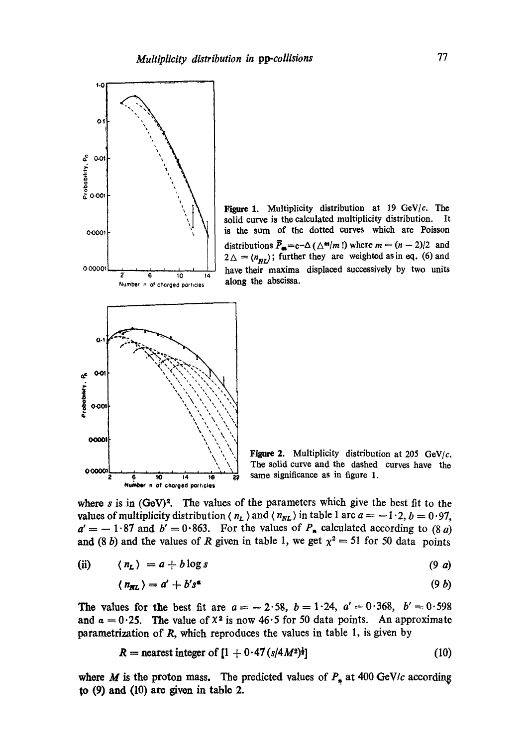

Figure 1. Multiplicity distribution at 19 GeV/c. The solid curve is the calculated multiplicity distribution. It is the sum of the dotted curves which are Poisson distributions  $\bar{P}_{\text{m}}=e-\Delta(\Delta^m/m!)$  where  $m=(n-2)/2$  and  $2\Delta = \langle n_{NL} \rangle$ ; further they are weighted as in eq. (6) and have their maxima displaced successively by two units along the abscissa.

Figure 2. Multiplicity distribution at 205 GeV/ $c$ . The solid curve and the dashed curves have the same significance as in figure 1.

where  $s$  is in  $(GeV)<sup>2</sup>$ . The values of the parameters which give the best fit to the values of multiplicity distribution  $\langle n_L \rangle$  and  $\langle n_{NL} \rangle$  in table 1 are  $a = -1.2$ ,  $b = 0.97$ ,  $a' = -1.87$  and  $b' = 0.863$ . For the values of  $P_n$  calculated according to (8 a) and (8 b) and the values of R given in table 1, we get  $\chi^2 = 51$  for 50 data points

(ii) 
$$
\langle n_{\mathbf{L}} \rangle = a + b \log s
$$
 (9 a)

$$
\langle n_{\text{NL}} \rangle = a' + b's^* \tag{9 b}
$$

The values for the best fit are  $a = -2.58$ ,  $b = 1.24$ ,  $a' = 0.368$ ,  $b' = 0.598$ and  $\alpha = 0.25$ . The value of  $X^2$  is now 46.5 for 50 data points. An approximate parametrization of  $R$ , which reproduces the values in table 1, is given by

 $R =$  nearest integer of  $[1 + 0.47 (s/4M^2)^{\frac{1}{2}}]$  (10)

where M is the proton mass. The predicted values of  $P_n$  at 400 GeV/c according **to (9) and (10) are given in table 2.**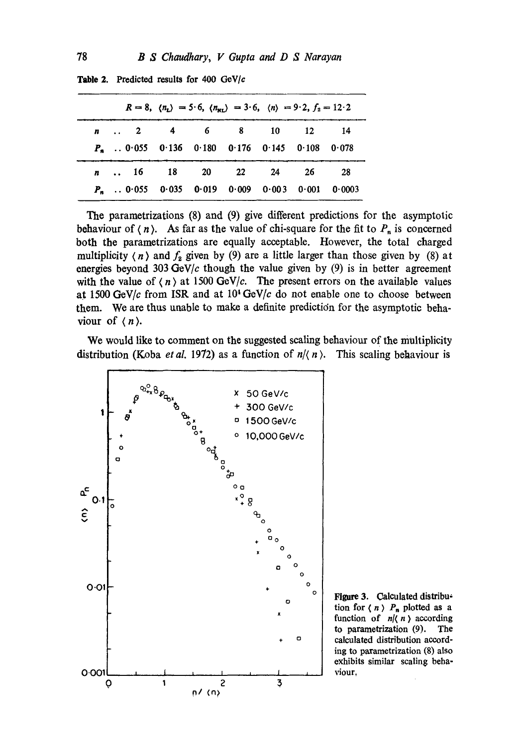|                                                         |  | $R = 8$ , $\langle n_{\rm L} \rangle = 5.6$ , $\langle n_{\rm NL} \rangle = 3.6$ , $\langle n \rangle = 9.2$ , $f_2 = 12.2$ |  |
|---------------------------------------------------------|--|-----------------------------------------------------------------------------------------------------------------------------|--|
| n  2 4 6 8 10 12 14                                     |  |                                                                                                                             |  |
| $P_{\rm m}$ . 0.055 0.136 0.180 0.176 0.145 0.108 0.078 |  |                                                                                                                             |  |
| n  16 18 20 22 24 26 28                                 |  |                                                                                                                             |  |
| $P_n$ . 0.055 0.035 0.019 0.009 0.003 0.001 0.0003      |  |                                                                                                                             |  |

Table 2. Predicted results for 400 *GeV/c* 

The parametrizations (8) and (9) give different predictions for the asymptotic behaviour of  $(n)$ . As far as the value of chi-square for the fit to  $P_n$  is concerned both the parametrizations are equally acceptable. However, the total charged multiplicity (*n*) and  $f_2$  given by (9) are a little larger than those given by (8) at energies beyond 303 GeV/c though the value given by  $(9)$  is in better agreement with the value of  $\langle n \rangle$  at 1500 GeV/c. The present errors on the available values at  $1500 \text{ GeV}/c$  from ISR and at  $10^4 \text{ GeV}/c$  do not enable one to choose between them. We are thus unable to make a definite prediction for the asymptotic behaviour of  $\langle n \rangle$ .

We would like to comment on the suggested sealing behaviour of the multiplicity distribution (Koba *et al.* 1972) as a function of  $n/(n)$ . This scaling behaviour is



Figure 3. Calculated distribution for  $\langle n \rangle$   $P_n$  plotted as a function of  $n/(n)$  according to parametrization (9). The calculated distribution according to paxametrization (8) also exhibits similar scaling behaviour,